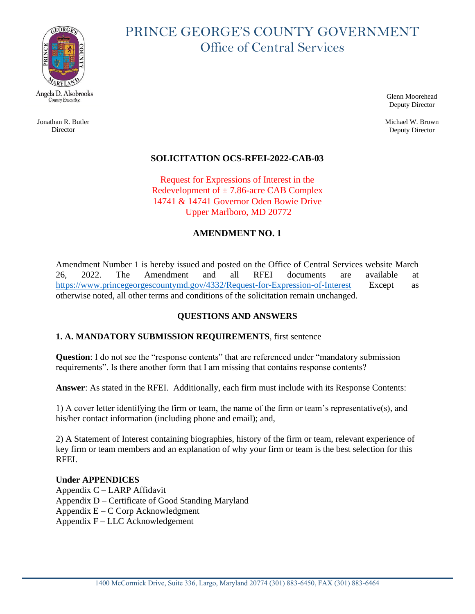

Jonathan R. Butler **Director** 

# PRINCE GEORGE'S COUNTY GOVERNMENT Office of Central Services

Glenn Moorehead Deputy Director

Michael W. Brown Deputy Director

## **SOLICITATION OCS-RFEI-2022-CAB-03**

Request for Expressions of Interest in the Redevelopment of  $\pm$  7.86-acre CAB Complex 14741 & 14741 Governor Oden Bowie Drive Upper Marlboro, MD 20772

#### **AMENDMENT NO. 1**

Amendment Number 1 is hereby issued and posted on the Office of Central Services website March 26, 2022. The Amendment and all RFEI documents are available at <https://www.princegeorgescountymd.gov/4332/Request-for-Expression-of-Interest> Except as otherwise noted, all other terms and conditions of the solicitation remain unchanged.

### **QUESTIONS AND ANSWERS**

#### **1. A. MANDATORY SUBMISSION REQUIREMENTS**, first sentence

**Question**: I do not see the "response contents" that are referenced under "mandatory submission requirements". Is there another form that I am missing that contains response contents?

**Answer**: As stated in the RFEI. Additionally, each firm must include with its Response Contents:

1) A cover letter identifying the firm or team, the name of the firm or team's representative(s), and his/her contact information (including phone and email); and,

2) A Statement of Interest containing biographies, history of the firm or team, relevant experience of key firm or team members and an explanation of why your firm or team is the best selection for this RFEI.

#### **Under APPENDICES**

Appendix C – LARP Affidavit Appendix D – Certificate of Good Standing Maryland Appendix E – C Corp Acknowledgment Appendix F – LLC Acknowledgement